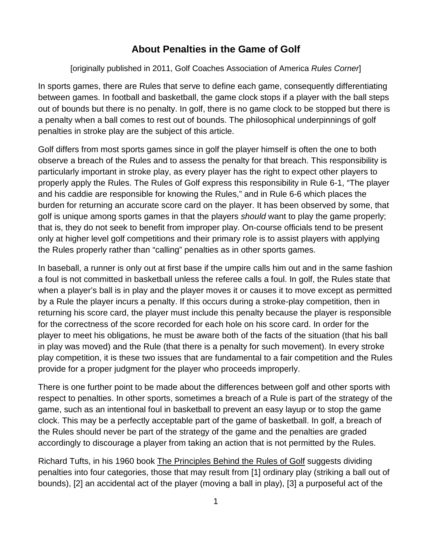## **About Penalties in the Game of Golf**

## [originally published in 2011, Golf Coaches Association of America *Rules Corner*]

In sports games, there are Rules that serve to define each game, consequently differentiating between games. In football and basketball, the game clock stops if a player with the ball steps out of bounds but there is no penalty. In golf, there is no game clock to be stopped but there is a penalty when a ball comes to rest out of bounds. The philosophical underpinnings of golf penalties in stroke play are the subject of this article.

Golf differs from most sports games since in golf the player himself is often the one to both observe a breach of the Rules and to assess the penalty for that breach. This responsibility is particularly important in stroke play, as every player has the right to expect other players to properly apply the Rules. The Rules of Golf express this responsibility in Rule 6-1, "The player and his caddie are responsible for knowing the Rules," and in Rule 6-6 which places the burden for returning an accurate score card on the player. It has been observed by some, that golf is unique among sports games in that the players *should* want to play the game properly; that is, they do not seek to benefit from improper play. On-course officials tend to be present only at higher level golf competitions and their primary role is to assist players with applying the Rules properly rather than "calling" penalties as in other sports games.

In baseball, a runner is only out at first base if the umpire calls him out and in the same fashion a foul is not committed in basketball unless the referee calls a foul. In golf, the Rules state that when a player's ball is in play and the player moves it or causes it to move except as permitted by a Rule the player incurs a penalty. If this occurs during a stroke-play competition, then in returning his score card, the player must include this penalty because the player is responsible for the correctness of the score recorded for each hole on his score card. In order for the player to meet his obligations, he must be aware both of the facts of the situation (that his ball in play was moved) and the Rule (that there is a penalty for such movement). In every stroke play competition, it is these two issues that are fundamental to a fair competition and the Rules provide for a proper judgment for the player who proceeds improperly.

There is one further point to be made about the differences between golf and other sports with respect to penalties. In other sports, sometimes a breach of a Rule is part of the strategy of the game, such as an intentional foul in basketball to prevent an easy layup or to stop the game clock. This may be a perfectly acceptable part of the game of basketball. In golf, a breach of the Rules should never be part of the strategy of the game and the penalties are graded accordingly to discourage a player from taking an action that is not permitted by the Rules.

Richard Tufts, in his 1960 book The Principles Behind the Rules of Golf suggests dividing penalties into four categories, those that may result from [1] ordinary play (striking a ball out of bounds), [2] an accidental act of the player (moving a ball in play), [3] a purposeful act of the